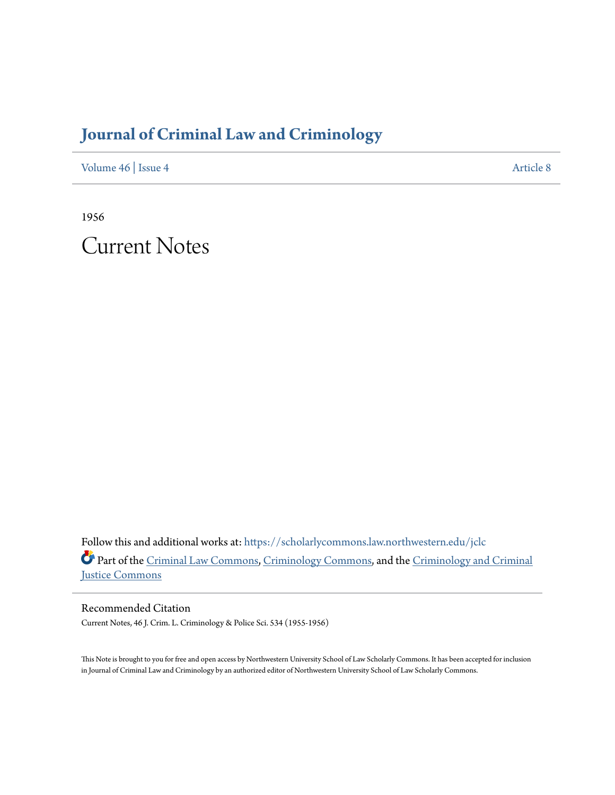# **[Journal of Criminal Law and Criminology](https://scholarlycommons.law.northwestern.edu/jclc?utm_source=scholarlycommons.law.northwestern.edu%2Fjclc%2Fvol46%2Fiss4%2F8&utm_medium=PDF&utm_campaign=PDFCoverPages)**

[Volume 46](https://scholarlycommons.law.northwestern.edu/jclc/vol46?utm_source=scholarlycommons.law.northwestern.edu%2Fjclc%2Fvol46%2Fiss4%2F8&utm_medium=PDF&utm_campaign=PDFCoverPages) | [Issue 4](https://scholarlycommons.law.northwestern.edu/jclc/vol46/iss4?utm_source=scholarlycommons.law.northwestern.edu%2Fjclc%2Fvol46%2Fiss4%2F8&utm_medium=PDF&utm_campaign=PDFCoverPages) [Article 8](https://scholarlycommons.law.northwestern.edu/jclc/vol46/iss4/8?utm_source=scholarlycommons.law.northwestern.edu%2Fjclc%2Fvol46%2Fiss4%2F8&utm_medium=PDF&utm_campaign=PDFCoverPages)

1956

Current Notes

Follow this and additional works at: [https://scholarlycommons.law.northwestern.edu/jclc](https://scholarlycommons.law.northwestern.edu/jclc?utm_source=scholarlycommons.law.northwestern.edu%2Fjclc%2Fvol46%2Fiss4%2F8&utm_medium=PDF&utm_campaign=PDFCoverPages) Part of the [Criminal Law Commons](http://network.bepress.com/hgg/discipline/912?utm_source=scholarlycommons.law.northwestern.edu%2Fjclc%2Fvol46%2Fiss4%2F8&utm_medium=PDF&utm_campaign=PDFCoverPages), [Criminology Commons](http://network.bepress.com/hgg/discipline/417?utm_source=scholarlycommons.law.northwestern.edu%2Fjclc%2Fvol46%2Fiss4%2F8&utm_medium=PDF&utm_campaign=PDFCoverPages), and the [Criminology and Criminal](http://network.bepress.com/hgg/discipline/367?utm_source=scholarlycommons.law.northwestern.edu%2Fjclc%2Fvol46%2Fiss4%2F8&utm_medium=PDF&utm_campaign=PDFCoverPages) [Justice Commons](http://network.bepress.com/hgg/discipline/367?utm_source=scholarlycommons.law.northwestern.edu%2Fjclc%2Fvol46%2Fiss4%2F8&utm_medium=PDF&utm_campaign=PDFCoverPages)

Recommended Citation Current Notes, 46 J. Crim. L. Criminology & Police Sci. 534 (1955-1956)

This Note is brought to you for free and open access by Northwestern University School of Law Scholarly Commons. It has been accepted for inclusion in Journal of Criminal Law and Criminology by an authorized editor of Northwestern University School of Law Scholarly Commons.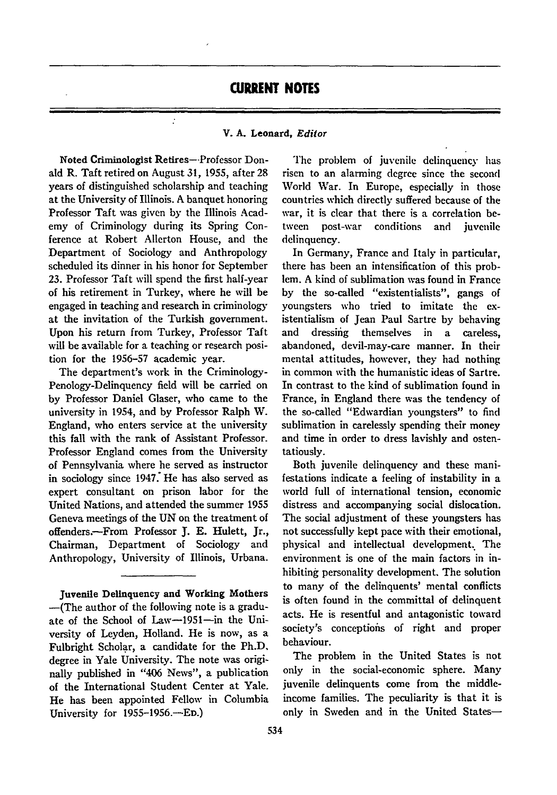## **CURRENT NOTES**

#### V. **A.** Leonard, *Editor*

Noted Criminologist Retires--Professor Donald R. Taft retired on August 31, 1955, after 28 years of distinguished scholarship and teaching at the University of Illinois. A banquet honoring Professor Taft was given by the Illinois Academy of Criminology during its Spring Conference at Robert Allerton House, and the Department of Sociology and Anthropology scheduled its dinner in his honor for September 23. Professor Taft will spend the first half-year of his retirement in Turkey, where he will be engaged in teaching and research in criminology at the invitation of the Turkish government. Upon his return from Turkey, Professor Taft will be available for a teaching or research position for the 1956-57 academic year.

 $\cdot$ 

The department's work in the Criminology-Penology-Delinquency field will be carried on by Professor Daniel Glaser, who came to the university in 1954, and by Professor Ralph W. England, who enters service at the university this fall with the rank of Assistant Professor. Professor England comes from the University of Pennsylvania where he served as instructor in sociology since 1947: He has also served as expert consultant on prison labor for the United Nations, and attended the summer **1955** Geneva meetings of the UN on the treatment of offenders.-From Professor **J. E.** Hulett, Jr., Chairman, Department of Sociology and Anthropology, University of Illinois, Urbana.

Juvenile Delinquency and Working Mothers -(The author of the following note is a graduate of the School of Law-1951-in the University of Leyden, Holland. He is now, as a Fulbright Scholar, a candidate for the **Ph.D.** degree in Yale University. The note was originally published in "406 News", a publication of the International Student Center at Yale. He has been appointed Fellow in Columbia University for 1955-1956.-ED.)

The problem of juvenile delinquency has risen to an alarming degree since the second World War. In Europe, especially in those countries which directly suffered because of the war, it is clear that there is a correlation between post-war conditions and juvenile delinquency.

In Germany, France and Italy in particular, there has been an intensification of this problem. A kind of sublimation was found in France by the so-called "existentialists", gangs of youngsters who tried to imitate the existentialism of Jean Paul Sartre by behaving and dressing themselves in a careless, abandoned, devil-may-care manner. In their mental attitudes, however, they had nothing in common with the humanistic ideas of Sartre. In contrast to the kind of sublimation found in France, in England there was the tendency of the so-called "Edwardian youngsters" to find sublimation in carelessly spending their money and time in order to dress lavishly and ostentatiously.

Both juvenile delinquency and these manifestations indicate a feeling of instability in a world full of international tension, economic distress and accompanying social dislocation. The social adjustment of these youngsters has not successfully kept pace with their emotional, physical and intellectual development.. The environment is one of the main factors in inhibiting personality development. The solution to many of the delinquents' mental conflicts is often found in the committal of delinquent acts. He is resentful and antagonistic toward society's conceptions of right and proper behaviour.

The problem in the United States is not only in the social-economic sphere. Many juvenile delinquents come from the middleincome families. The peculiarity is that it is only in Sweden and in the United States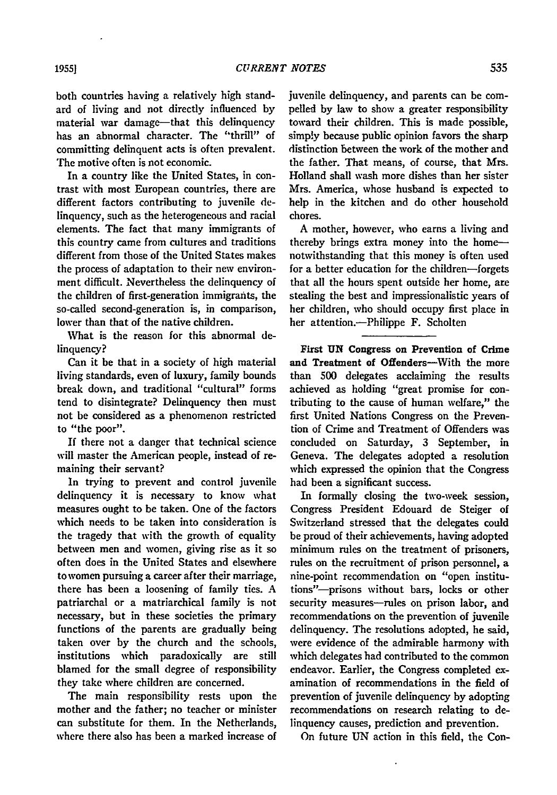both countries having a relatively high standard of living and not directly influenced **by** material war damage-that this delinquency has an abnormal character. The "thrill" of committing delinquent acts is often prevalent. The motive often is not economic.

In a country like the United States, in contrast with most European countries, there are different factors contributing to juvenile delinquency, such as the heterogeneous and racial elements. The fact that many immigrants of this country came from cultures and traditions different from those of the United States makes the process of adaptation to their new environment difficult. Nevertheless the delinquency of the children of first-generation immigrants, the so-called second-generation is, in comparison, lower than that of the native children.

What is the reason for this abnormal delinquency?

Can it be that in a society of high material living standards, even of luxury, family bounds break down, and traditional "cultural" forms tend to disintegrate? Delinquency then must not be considered as a phenomenon restricted to "the poor".

**If** there not a danger that technical science will master the American people, instead of remaining their servant?

In trying to prevent and control juvenile delinquency it is necessary to know what measures ought to be taken. One of the factors which needs to be taken into consideration is the tragedy that with the growth of equality between men and women, giving rise as it so often does in the United States and elsewhere to women pursuing a career after their marriage, there has been a loosening of family ties. **A** patriarchal or a matriarchical family is not necessary, but in these societies the primary functions of the parents are gradually being taken over **by** the church and the schools, institutions which paradoxically are still blamed for the small degree of responsibility they take where children are concerned.

The main responsibility rests upon the mother and the father; no teacher or minister can substitute for them. In the Netherlands, where there also has been a marked increase of juvenile delinquency, and parents can be compelled **by** law to show a greater responsibility toward their children. This is made possible, simply because public opinion favors the sharp distinction between the work of the mother and the father. That means, of course, that Mrs. Holland shall wash more dishes than her sister Mrs. America, whose husband is expected to help in the kitchen and do other household chores.

**A** mother, however, who earns a living and thereby brings extra money into the homenotwithstanding that this money is often used for a better education for the children-forgets that all the hours spent outside her home, are stealing the best and impressionalistic years of her children, who should occupy first place in her attention.--Philippe F. Scholten

First **UN** Congress on Prevention of Crime and Treatment of Offenders-With the more than **500** delegates acclaiming the results achieved as holding "great promise for contributing to the cause of human welfare," the first United Nations Congress on the Prevention of Crime and Treatment of Offenders was concluded on Saturday, **3** September, in Geneva. The delegates adopted a resolution which expressed the opinion that the Congress had been a significant success.

In formally closing the two-week session, Congress President Edouard de Steiger of Switzerland stressed that the delegates could be proud of their achievements, having adopted minimum rules on the treatment of prisoners, rules on the recruitment of prison personnel, a nine-point recommendation on "open institutions"--prisons without bars, locks or other security measures-rules on prison labor, and recommendations on the prevention of juvenile delinquency. The resolutions adopted, he said, were evidence of the admirable harmony with which delegates had contributed to the common endeavor. Earlier, the Congress completed examination of recommendations in the field of prevention of juvenile delinquency **by** adopting recommendations on research relating to delinquency causes, prediction and prevention.

On future UN action in this **field,** the Con-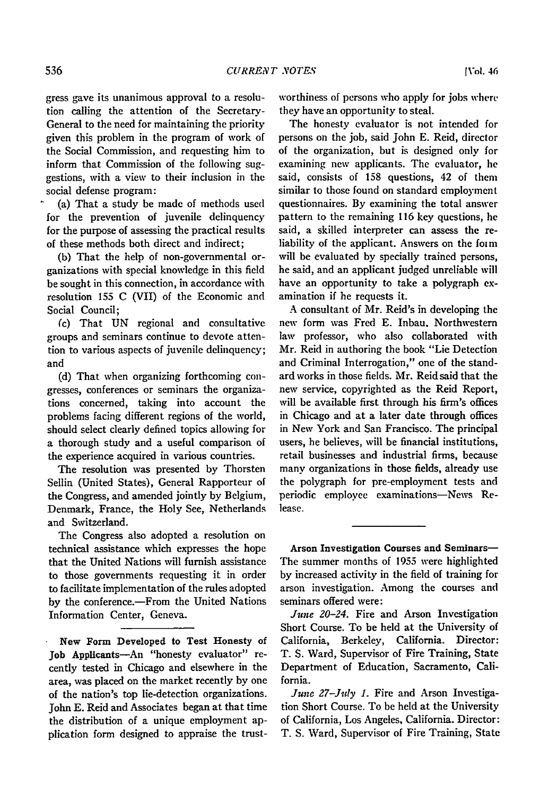gress gave its unanimous approval to a resolution calling the attention of the Secretary-General to the need for maintaining the priority given this problem in the program of work of the Social Commission, and requesting him to inform that Commission of the following suggestions, with a view to their inclusion in the social defense program:

(a) That a study be made of methods used for the prevention of juvenile delinquency for the purpose of assessing the practical results of these methods both direct and indirect;

(b) That the help of non-governmental organizations with special knowledge in this field be sought in this connection, in accordance with resolution **155** C (VII) of the Economic and Social Council;

(c) That UN regional and consultative groups and seminars continue to devote attention to various aspects of juvenile delinquency; and

(d) That when organizing forthcoming congresses, conferences or seminars the organizations concerned, taking into account the problems facing different regions of the world, should select clearly defined topics allowing for a thorough study and a useful comparison of the experience acquired in various countries.

The resolution was presented by Thorsten Sellin (United States), General Rapporteur of the Congress, and amended jointly by Belgium, Denmark, France, the Holy See, Netherlands and Switzerland.

The Congress also adopted a resolution on technical assistance which expresses the hope that the United Nations will furnish assistance to those governments requesting it in order to facilitate implementation of the rules adopted by the conference.-From the United Nations Information Center, Geneva.

New Form Developed to Test Honesty of Job Applicants-An "honesty evaluator" recently tested in Chicago and elsewhere in the area, was placed on the market recently by one of the nation's top lie-detection organizations. John **E.** Reid and Associates began at that time the distribution of a unique employment application form designed to appraise the trustworthiness of persons who apply for jobs where they have an opportunity to steal.

The honesty evaluator is not intended for persons on the job, said John E. Reid, director of the organization, but is designed only for examining new applicants. The evaluator, he said, consists of 158 questions, 42 of them similar to those found on standard employment questionnaires. By examining the total answer pattern to the remaining 116 key questions, he said, a skilled interpreter can assess the reliability of the applicant. Answers on the foim will be evaluated by specially trained persons, he said, and an applicant judged unreliable will have an opportunity to take a polygraph examination if he requests it.

A consultant of Mr. Reid's in developing the new form was Fred E. Inbau. Northwestern law professor, who also collaborated with Mr. Reid in authoring the book "Lie Detection and Criminal Interrogation," one of the standard works in those fields. Mr. Reid said that the new service, copyrighted as the Reid Report, will be available first through his firm's offices in Chicago and at a later date through offices in New York and San Francisco. The principal users, he believes, will be financial institutions, retail businesses and industrial firms, because many organizations in those fields, already use the polygraph for pre-employment tests and periodic employee examinations-News Release.

Arson Investigation Courses and Seminars-The summer months of 1955 were highlighted by increased activity in the field of training for arson investigation. Among the courses and seminars offered were:

*June 20-24.* Fire and Arson Investigation Short Course. To be held at the University of California, Berkeley, California. Director: T. S. Ward, Supervisor of Fire Training, State Department of Education, Sacramento, California.

*June 27-July 1.* Fire and Arson Investigation Short Course. To be **held** at the University of California, Los Angeles, California. Director: T. **S.** Ward, Supervisor of Fire Training, State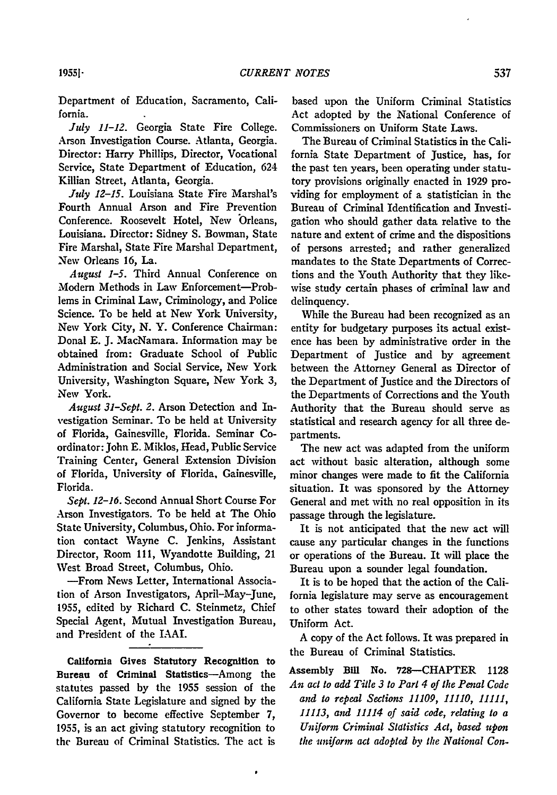Department of Education, Sacramento, California.

*July 11-12.* Georgia State Fire College. Arson Investigation Course. Atlanta, Georgia. Director: Harry Phillips, Director, Vocational Service, State Department of Education, 624 Killian Street, Atlanta, Georgia.

*July 12-15.* Louisiana State Fire Marshal's Fourth Annual Arson and Fire Prevention Conference. Roosevelt Hotel, New Orleans, Louisiana. Director: Sidney S. Bowman, State Fire Marshal, State Fire Marshal Department, New Orleans 16, La.

*August 1-5.* Third Annual Conference on Modern Methods in Law Enforcement-Problems in Criminal Law, Criminology, and Police Science. To be held at New York University, New York City, N. Y. Conference Chairman: Donal **E.** J. MacNamara. Information may be obtained from: Graduate School of Public Administration and Social Service, New York University, Washington Square, New York 3, New York.

*August 31-Sept. 2.* Arson Detection and Investigation Seminar. To be held at University of Florida, Gainesville, Florida. Seminar Coordinator: John E. Miklos, Head, Public Service Training Center, General Extension Division of Florida, University of Florida, Gainesville, Florida.

*Sept. 12-16.* Second Annual Short Course For Arson Investigators. To be held at The Ohio State University, Columbus, Ohio. For information contact Wayne C. Jenkins, Assistant Director, Room **111,** Wyandotte Building, 21 West Broad Street, Columbus, Ohio.

-From News Letter, International Association of Arson Investigators, April-May-June, 1955, edited by Richard C. Steinmetz, Chief Special Agent, Mutual Investigation Bureau, and President of the IAAI.

California Gives Statutory Recognition to Bureau of Criminal Statistics-Among the statutes passed by the 1955 session of the California State Legislature and signed by the Governor to become effective September **7,** 1955, is an act giving statutory recognition to **the** Bureau of Criminal Statistics. The act is

 $\bullet$ 

based upon the Uniform Criminal Statistics Act adopted by the National Conference of Commissioners on Uniform State Laws.

The Bureau of Criminal Statistics in the California State Department of Justice, has, for the past ten years, been operating under statutory provisions originally enacted in 1929 providing for employment of a statistician in the Bureau of Criminal Identification and Investigation who should gather data relative to the nature and extent of crime and the dispositions of persons arrested; and rather generalized mandates to the State Departments of Corrections and the Youth Authority that they likewise study certain phases of criminal law and delinquency.

While the Bureau had been recognized as an entity for budgetary purposes its actual existence has been by administrative order in the Department of Justice and by agreement between the Attorney General as Director of the Department of Justice and the Directors of the Departments of Corrections and the Youth Authority that the Bureau should serve as statistical and research agency for all three departments.

The new act was adapted from the uniform act without basic alteration, although some minor changes were made to fit the California situation. It was sponsored by the Attorney General and met with no real opposition in its passage through the legislature.

It is not anticipated that the new act will cause any particular changes in the functions or operations of the Bureau. It will place the Bureau upon a sounder legal foundation.

It is to be hoped that the action of the California legislature may serve as encouragement to other states toward their adoption of the Uniform Act.

A copy of the Act follows. It was prepared in the Bureau of Criminal Statistics.

Assembly Bill No. 728-CHAPTER 1128 *An act to add Title 3 to Part 4 of the Penal Code and to repeal Sections 11109, 11110, 11111, 11113, and 11114 of said code, relating to a Uniform Criminal Statistics Act, based upon the uniform act adopted by the National Con-*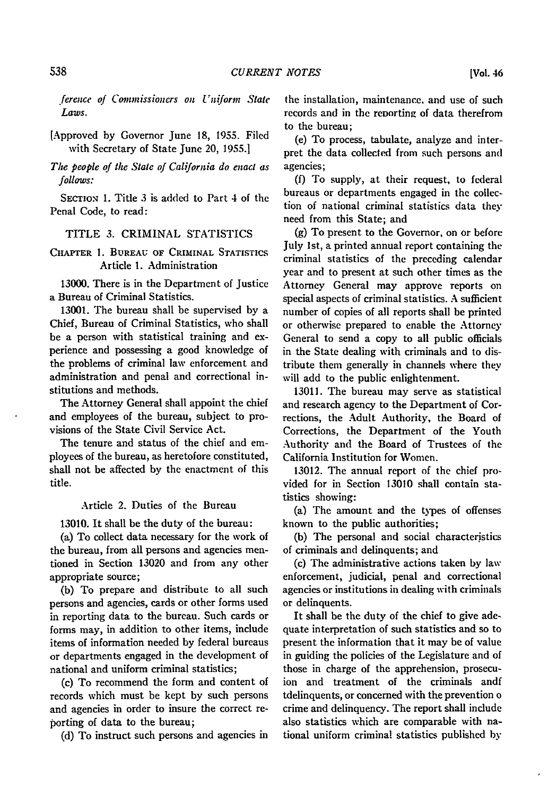fereixe of *Commissioners on Uniform State Laws.*

[Approved **by** Governor June **18, 1955.** Filed with Secretary of State June 20, **1955.1**

*The people of the State of California do enact as* follows:

SECToN 1. Title 3 is added to Part 4 of the Penal Code, to read:

### TITLE 3. CRIMINAL STATISTICS

CHAPTER **1.** BUREAU **OF** CRIMINAL **STATISTICS** Article **1.** Administration

**13000.** There is in the Department of Justice a Bureau of Criminal Statistics.

13001. The bureau shall be supervised by a Chief, Bureau of Criminal Statistics, who shall be a person with statistical training and experience and possessing a good knowledge of the problems of criminal law enforcement and administration and penal and correctional institutions and methods.

The Attorney General shall appoint the chief and employees of the bureau, subject to provisions of the State Civil Service Act.

The tenure and status of the chief and employees of the bureau, as heretofore constituted, shall not be affected **by** the enactment of this title.

Article 2. Duties of the Bureau

13010. It shall be the duty of the bureau:

(a) To collect data necessary for the work of the bureau, from all persons and agencies mentioned in Section **13020** and from any other appropriate source;

(b) To prepare and distribute to all such persons and agencies, cards or other forms used in reporting data to the bureau. Such cards or forms may, in addition to other items, include items of information needed **by** federal bureaus or departments engaged in the development of national and uniform criminal statistics;

(c) To recommend the form and content of records which must be kept by such persons and agencies in order to insure the correct reporting of data to the bureau;

(d) To instruct such persons and agencies in

the installation, maintenance, and use of such records and in the reporting of data therefrom to the bureau;

(e) To process, tabulate, analyze and interpret the data collected from such persons and agencies;

**(f)** To supply, at their request, to federal bureaus or departments engaged in the collection of national criminal statistics data they need from this State; and

**(g)** To present to the Governor, on or before July 1st, a printed annual report containing the criminal statistics of the preceding calendar year and to present at such other times as the Attorney General may approve reports on special aspects of criminal statistics. **A** sufficient number of copies of all reports shall be printed or otherwise prepared to enable the Attorney General to send a copy to all public officials in the State dealing with criminals and to distribute them generally in channels where they will add to the public enlightenment.

**13011.** The bureau may serve as statistical and research agency to the Department of Corrections, the Adult Authority, the Board of Corrections, the Department of the Youth Authority and the Board of Trustees of the California Institution for Women.

**13012.** The annual report of the chief provided for in Section **13010** shall contain statistics showing:

(a) The amount and the types of offenses known to the public authorities;

**(b)** The personal and social characteristics of criminals and delinquents; and

(c) The administrative actions taken **by** law enforcement, judicial, penal and correctional agencies or institutions in dealing with criminals or delinquents.

It shall be the duty of the chief to give adequate interpretation of such statistics and so to present the information that it may be of value in guiding the policies of the Legislature and of those in charge of the apprehension, prosecuion and treatment of the criminals andf tdelinquents, or concerned with the prevention o crime and delinquency. The report shall include also statistics which are comparable with national uniform criminal statistics published **by**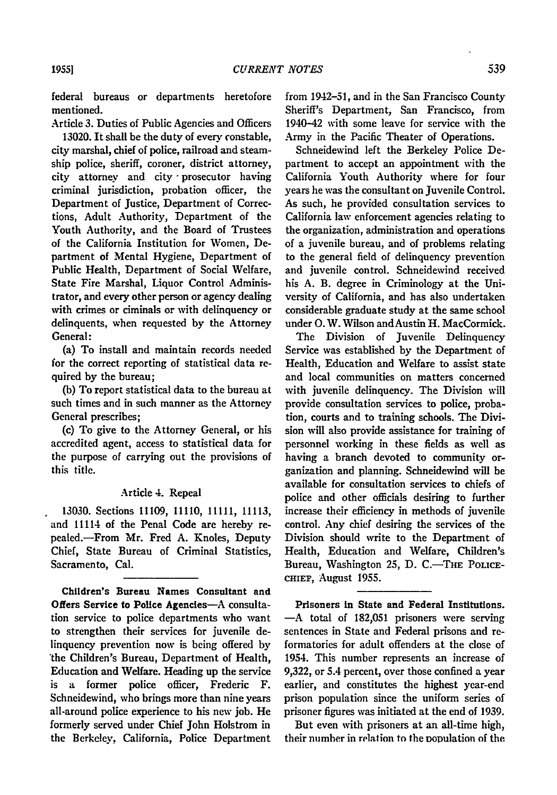federal bureaus or departments heretofore mentioned.

Article **3.** Duties of Public Agencies and Officers 13020. It shall be the duty of every constable, city marshal, chief of police, railroad and steamship police, sheriff, coroner, district attorney, city attorney and city -prosecutor having criminal jurisdiction, probation officer, the Department of Justice, Department of Corrections, Adult Authority, Department of the Youth Authority, and the Board of Trustees of the California Institution for Women, Department of Mental Hygiene, Department of Public Health, Department of Social Welfare, State Fire Marshal, Liquor Control Administrator, and every other person or agency dealing with crimes or ciminals or with delinquency or delinquents, when requested **by** the Attorney General:

(a) To install and maintain records needed for the correct reporting of statistical data required by the bureau;

(b) To report statistical data to the bureau at such times and in such manner as the Attorney General prescribes;

(c) To give to the Attorney General, or his accredited agent, access to statistical data for the purpose of carrying out the provisions of this title.

#### Article 4. Repeal

**13030.** Sections 11109, 11110, 11111, 11113, and 11114 of the Penal Code are hereby repealed.-From Mr. Fred **A.** Knoles, Deputy Chief, State Bureau of Criminal Statistics, Sacramento, Cal.

Children's Bureau Names Consultant and Offers Service to Police Agencies-A consultation service to police departments who want to strengthen their services for juvenile delinquency prevention now is being offered **by** 'the Children's Bureau, Department of Health, Education and Welfare. Heading up the service is a former police officer, Frederic F. Schneidewind, who brings more than nine years all-around police experience to his new **job.** He formerly served under Chief John Holstrom in the Berkeley, California, Police Department

from 1942-51, and in the San Francisco County Sheriff's Department, San Francisco, from 1940-42 with some leave for service with the Army in the Pacific Theater of Operations.

Schneidewind left the Berkeley Police Department to accept an appointment with the California Youth Authority where for four years he was the consultant on Juvenile Control. As such, he provided consultation services to California law enforcement agencies relating to the organization, administration and operations of a juvenile bureau, and of problems relating to the general field of delinquency prevention and juvenile control. Schneidewind received his **A.** B. degree in Criminology at the University of California, and has also undertaken considerable graduate study at the same school under **0.** W. Wilson andAustin H. MacCormick.

The Division of Juvenile Delinquency Service was established **by** the Department of Health, Education and Welfare to assist state and local communities on matters concerned with juvenile delinquency. The Division will provide consultation services to police, probation, courts and to training schools. The Division will also provide assistance for training of personnel working in these fields as well as having a branch devoted to community organization and planning. Schneidewind will be available for consultation services to chiefs of police and other officials desiring to further increase their efficiency in methods of juvenile control. Any chief desiring the services of the Division should write to the Department of Health, Education and Welfare, Children's Bureau, Washington 25, D. C.-THE POLICE-CHIEF, August **1955.**

Prisoners in State and Federal Institutions. -A total of **182,051** prisoners were serving sentences in State and Federal prisons and reformatories for adult offenders at the close of 1954. This number represents an increase of **9,322,** or 5.4 percent, over those confined a year earlier, and constitutes the highest year-end prison population since the uniform series of prisoner figures was initiated at the end of **1939.**

But even with prisoners at an all-time high, their number in relation to the Dopulation of the